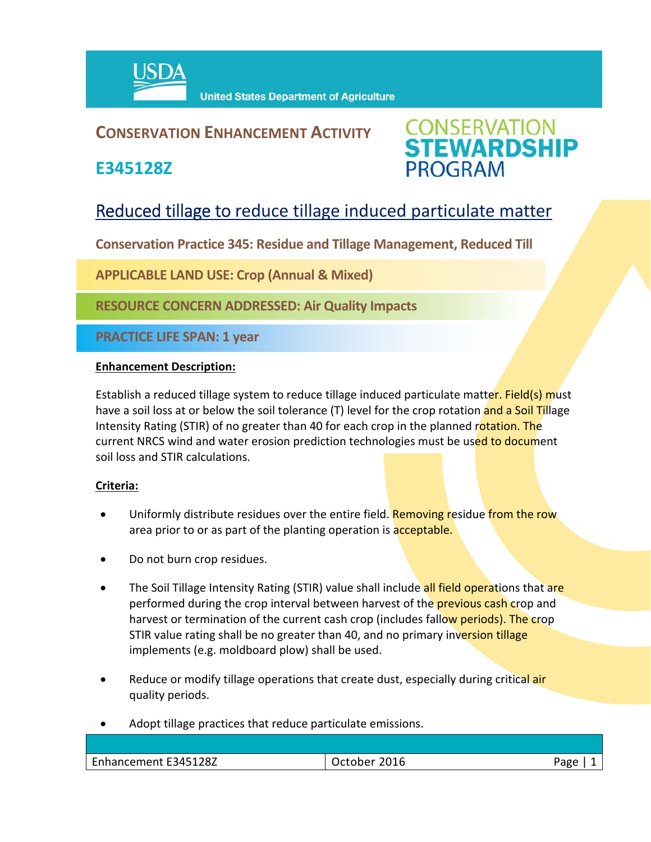

## **CONSERVATION ENHANCEMENT ACTIVITY**

**E345128Z**



# Reduced tillage to reduce tillage induced particulate matter

**Conservation Practice 345: Residue and Tillage Management, Reduced Till** 

**APPLICABLE LAND USE: Crop (Annual & Mixed)**

**RESOURCE CONCERN ADDRESSED: Air Quality Impacts**

**PRACTICE LIFE SPAN: 1 year**

### **Enhancement Description:**

Establish a reduced tillage system to reduce tillage induced particulate matter. Field(s) must have a soil loss at or below the soil tolerance (T) level for the crop rotation and a Soil Tillage Intensity Rating (STIR) of no greater than 40 for each crop in the planned rotation. The current NRCS wind and water erosion prediction technologies must be used to document soil loss and STIR calculations.

### **Criteria:**

- Uniformly distribute residues over the entire field. Removing residue from the row area prior to or as part of the planting operation is acceptable.
- Do not burn crop residues.
- The Soil Tillage Intensity Rating (STIR) value shall include all field operations that are performed during the crop interval between harvest of the **previous cash crop** and harvest or termination of the current cash crop (includes fallow periods). The crop STIR value rating shall be no greater than 40, and no primary inversion tillage implements (e.g. moldboard plow) shall be used.
- Reduce or modify tillage operations that create dust, especially during critical air quality periods.
- Adopt tillage practices that reduce particulate emissions.

| Enhancement E345128Z | 2016<br>October | Page |
|----------------------|-----------------|------|